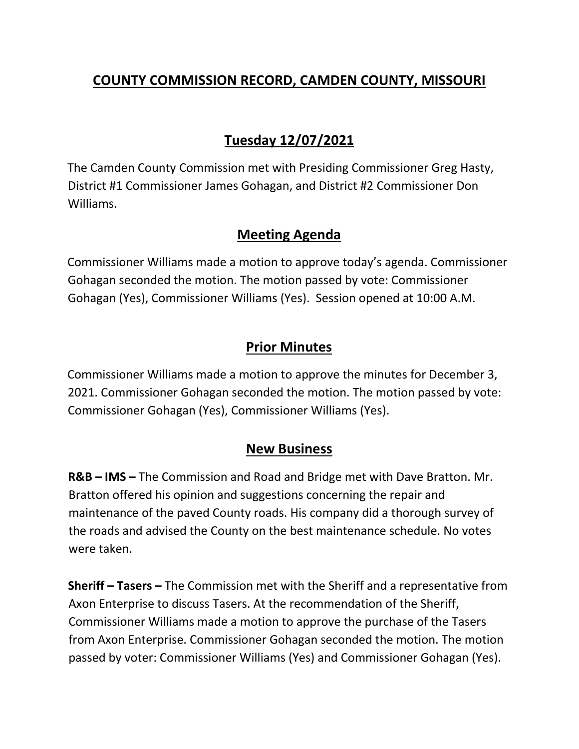# **COUNTY COMMISSION RECORD, CAMDEN COUNTY, MISSOURI**

# **Tuesday 12/07/2021**

The Camden County Commission met with Presiding Commissioner Greg Hasty, District #1 Commissioner James Gohagan, and District #2 Commissioner Don Williams.

## **Meeting Agenda**

Commissioner Williams made a motion to approve today's agenda. Commissioner Gohagan seconded the motion. The motion passed by vote: Commissioner Gohagan (Yes), Commissioner Williams (Yes). Session opened at 10:00 A.M.

## **Prior Minutes**

Commissioner Williams made a motion to approve the minutes for December 3, 2021. Commissioner Gohagan seconded the motion. The motion passed by vote: Commissioner Gohagan (Yes), Commissioner Williams (Yes).

#### **New Business**

**R&B – IMS –** The Commission and Road and Bridge met with Dave Bratton. Mr. Bratton offered his opinion and suggestions concerning the repair and maintenance of the paved County roads. His company did a thorough survey of the roads and advised the County on the best maintenance schedule. No votes were taken.

**Sheriff – Tasers –** The Commission met with the Sheriff and a representative from Axon Enterprise to discuss Tasers. At the recommendation of the Sheriff, Commissioner Williams made a motion to approve the purchase of the Tasers from Axon Enterprise. Commissioner Gohagan seconded the motion. The motion passed by voter: Commissioner Williams (Yes) and Commissioner Gohagan (Yes).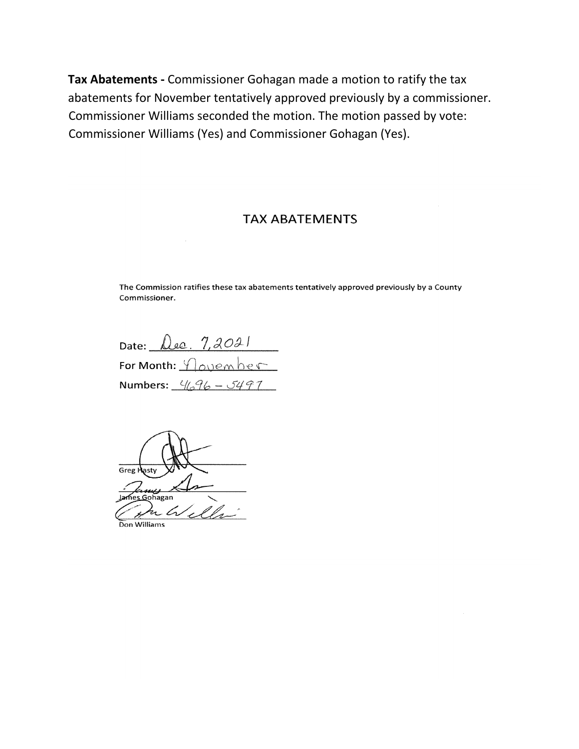Tax Abatements - Commissioner Gohagan made a motion to ratify the tax abatements for November tentatively approved previously by a commissioner. Commissioner Williams seconded the motion. The motion passed by vote: Commissioner Williams (Yes) and Commissioner Gohagan (Yes).

#### **TAX ABATEMENTS**

The Commission ratifies these tax abatements tentatively approved previously by a County Commissioner.

Date:  $\triangle$ ee.  $7,2021$ For Month: <u>November</u> Numbers:  $4/36 - 5497$ 

Greg <u>S</u>ohagan l n Don Williams